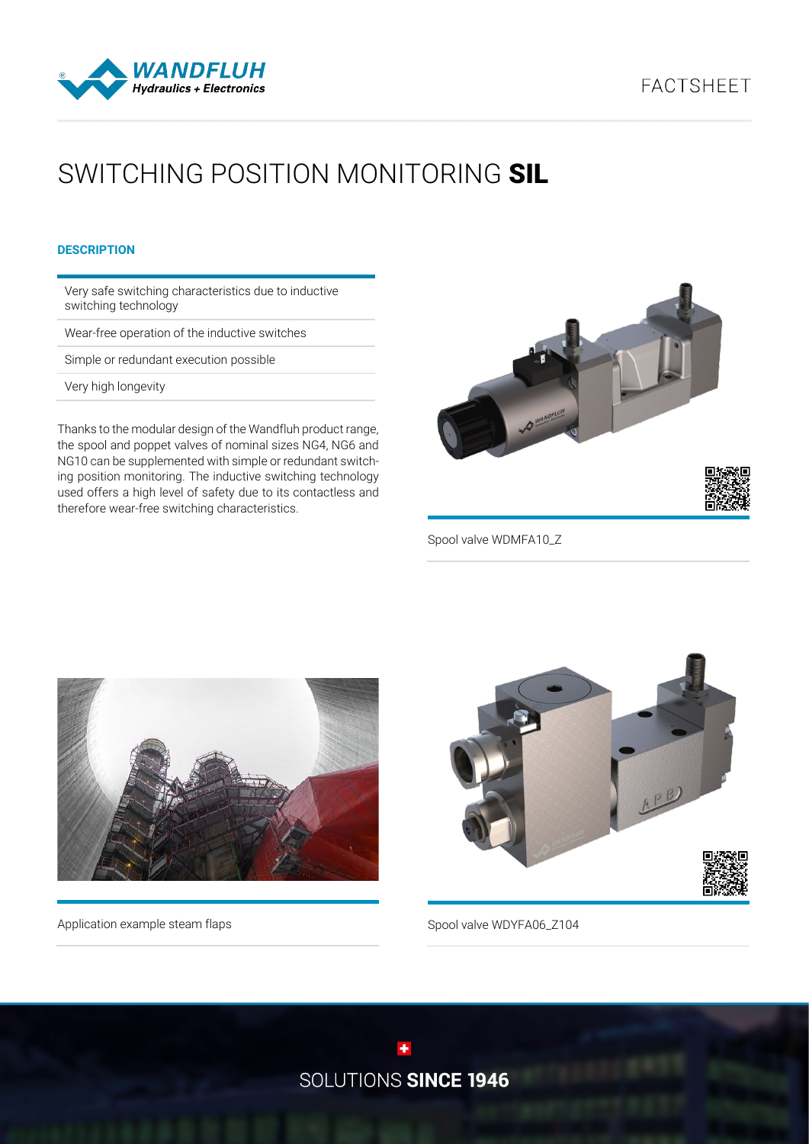



# SWITCHING POSITION MONITORING SIL

## **DESCRIPTION**

Very safe switching characteristics due to inductive switching technology

Wear-free operation of the inductive switches

Simple or redundant execution possible

Very high longevity

Thanks to the modular design of the Wandfluh product range, the spool and poppet valves of nominal sizes NG4, NG6 and NG10 can be supplemented with simple or redundant switching position monitoring. The inductive switching technology used offers a high level of safety due to its contactless and therefore wear-free switching characteristics.



Spool valve WDMFA10\_Z



Application example steam flaps



Spool valve WDYFA06\_Z104